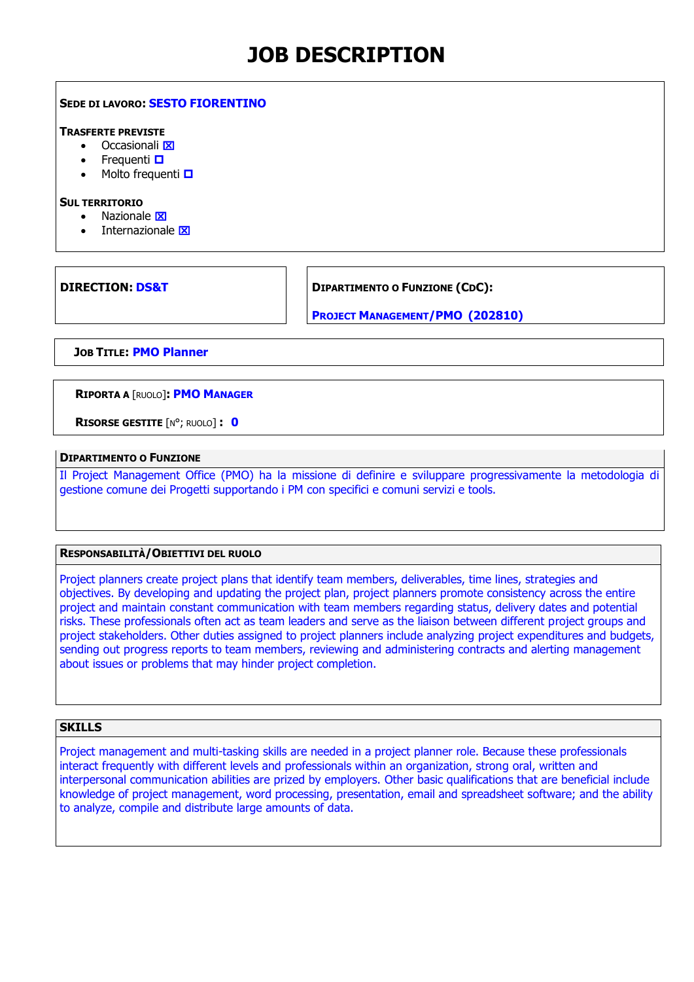# **JOB DESCRIPTION**

## **SEDE DI LAVORO: SESTO FIORENTINO**

#### **TRASFERTE PREVISTE**

- $\bullet$  Occasionali $\overline{\mathbf{x}}$
- Frequenti **O**
- Molto frequenti  $\Box$

#### **SUL TERRITORIO**

- Nazionale **X**
- Internazionale **X**

**DIRECTION: DS&T DIPARTIMENTO O FUNZIONE (CDC):** 

**PROJECT MANAGEMENT/PMO (202810)**

**JOB TITLE: PMO Planner**

## **RIPORTA A** [RUOLO]**: PMO MANAGER**

**RISORSE GESTITE** [N°; RUOLO] **: 0**

## **DIPARTIMENTO O FUNZIONE**

Il Project Management Office (PMO) ha la missione di definire e sviluppare progressivamente la metodologia di gestione comune dei Progetti supportando i PM con specifici e comuni servizi e tools.

## **RESPONSABILITÀ/OBIETTIVI DEL RUOLO**

Project planners create project plans that identify team members, deliverables, time lines, strategies and objectives. By developing and updating the project plan, project planners promote consistency across the entire project and maintain constant communication with team members regarding status, delivery dates and potential risks. These professionals often act as team leaders and serve as the liaison between different project groups and project stakeholders. Other duties assigned to project planners include analyzing project expenditures and budgets, sending out progress reports to team members, reviewing and administering contracts and alerting management about issues or problems that may hinder project completion.

# **SKILLS**

Project management and multi-tasking skills are needed in a project planner role. Because these professionals interact frequently with different levels and professionals within an organization, strong oral, written and interpersonal communication abilities are prized by employers. Other basic qualifications that are beneficial include knowledge of project management, word processing, presentation, email and spreadsheet software; and the ability to analyze, compile and distribute large amounts of data.